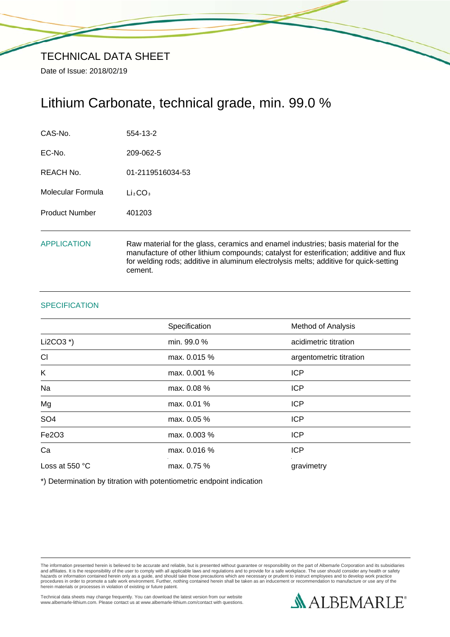# Lithium Carbonate, technical grade, min. 99.0 %

| CAS-No.               | 554-13-2                                                                                                                                                                                                                                                                         |
|-----------------------|----------------------------------------------------------------------------------------------------------------------------------------------------------------------------------------------------------------------------------------------------------------------------------|
| EC-No.                | 209-062-5                                                                                                                                                                                                                                                                        |
| REACH No.             | 01-2119516034-53                                                                                                                                                                                                                                                                 |
| Molecular Formula     | Li <sub>2</sub> CO <sub>3</sub>                                                                                                                                                                                                                                                  |
| <b>Product Number</b> | 401203                                                                                                                                                                                                                                                                           |
| <b>APPLICATION</b>    | Raw material for the glass, ceramics and enamel industries; basis material for the<br>manufacture of other lithium compounds; catalyst for esterification; additive and flux<br>for welding rods; additive in aluminum electrolysis melts; additive for quick-setting<br>cement. |

### **SPECIFICATION**

|                 | Specification | <b>Method of Analysis</b> |
|-----------------|---------------|---------------------------|
| Li2CO3 $*$ )    | min. 99.0 %   | acidimetric titration     |
| CI              | max. 0.015 %  | argentometric titration   |
| K               | max. 0.001 %  | <b>ICP</b>                |
| Na              | max. 0.08 %   | <b>ICP</b>                |
| Mg              | max. 0.01 %   | <b>ICP</b>                |
| SO <sub>4</sub> | max. 0.05 %   | <b>ICP</b>                |
| Fe2O3           | max. 0.003 %  | <b>ICP</b>                |
| Ca              | max. 0.016 %  | <b>ICP</b>                |
| Loss at 550 °C  | max. 0.75 %   | gravimetry                |

\*) Determination by titration with potentiometric endpoint indication

The information presented herein is believed to be accurate and reliable, but is presented without guarantee or responsibility on the part of Albemarle Corporation and its subsidiaries<br>and affiliates. It is the responsibil

Technical data sheets may change frequently. You can download the latest version from our website www.albemarle-lithium.com. Please contact us at www.albemarle-lithium.com/contact with questions.

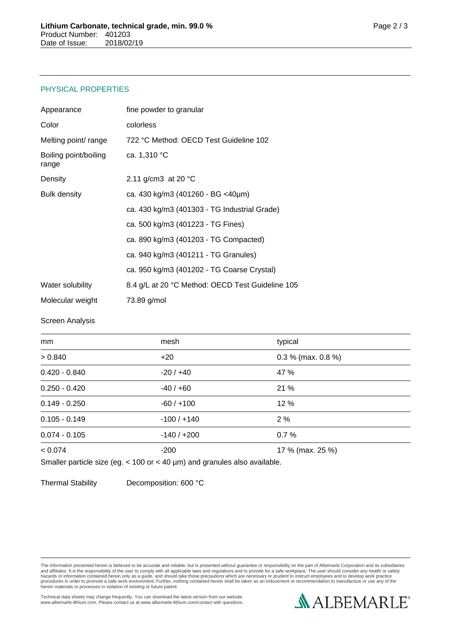## PHYSICAL PROPERTIES

| Appearance                     | fine powder to granular                          |
|--------------------------------|--------------------------------------------------|
| Color                          | colorless                                        |
| Melting point/ range           | 722 °C Method: OECD Test Guideline 102           |
| Boiling point/boiling<br>range | ca. 1,310 °C                                     |
| Density                        | 2.11 g/cm3 at 20 $^{\circ}$ C                    |
| <b>Bulk density</b>            | ca. 430 kg/m3 (401260 - BG <40µm)                |
|                                | ca. 430 kg/m3 (401303 - TG Industrial Grade)     |
|                                | ca. 500 kg/m3 (401223 - TG Fines)                |
|                                | ca. 890 kg/m3 (401203 - TG Compacted)            |
|                                | ca. 940 kg/m3 (401211 - TG Granules)             |
|                                | ca. 950 kg/m3 (401202 - TG Coarse Crystal)       |
| Water solubility               | 8.4 g/L at 20 °C Method: OECD Test Guideline 105 |
| Molecular weight               | 73.89 g/mol                                      |

#### Screen Analysis

| mm              | mesh          | typical              |
|-----------------|---------------|----------------------|
| > 0.840         | $+20$         | $0.3\%$ (max. 0.8 %) |
| $0.420 - 0.840$ | $-20/ +40$    | 47 %                 |
| $0.250 - 0.420$ | $-40/+60$     | 21 %                 |
| $0.149 - 0.250$ | $-60/+100$    | 12 %                 |
| $0.105 - 0.149$ | $-100/ + 140$ | 2%                   |
| $0.074 - 0.105$ | $-140/+200$   | 0.7%                 |
| < 0.074         | $-200$        | 17 % (max. 25 %)     |

Smaller particle size (eg. < 100 or < 40 µm) and granules also available.

Thermal Stability Decomposition: 600 °C

The information presented herein is believed to be accurate and reliable, but is presented without guarantee or responsibility on the part of Albemarle Corporation and its subsidiaries<br>and affiliates. It is the responsibil

Technical data sheets may change frequently. You can download the latest version from our website www.albemarle-lithium.com. Please contact us at www.albemarle-lithium.com/contact with questions.